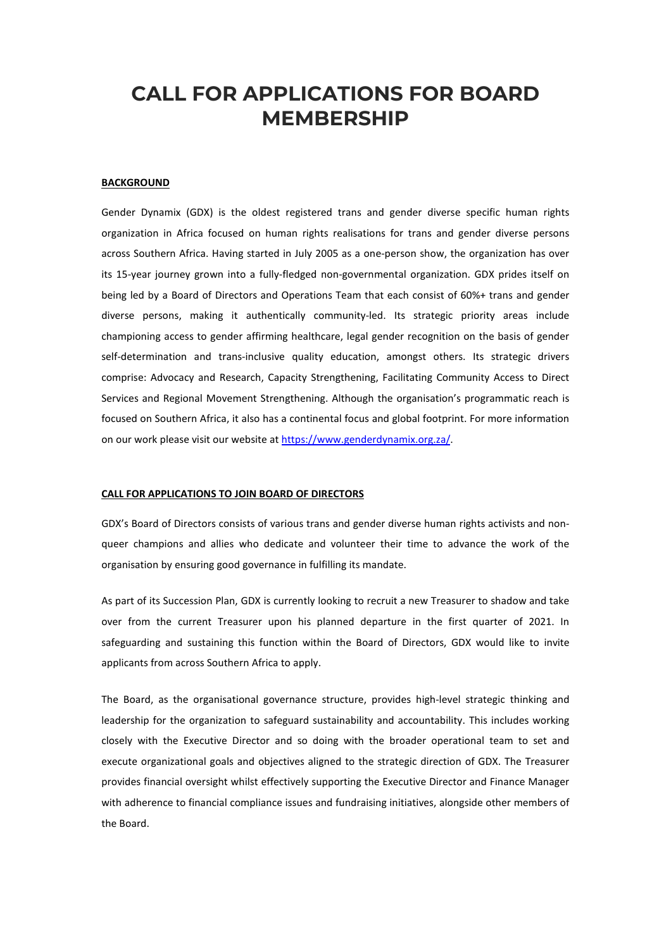# **CALL FOR APPLICATIONS FOR BOARD MEMBERSHIP**

#### **BACKGROUND**

Gender Dynamix (GDX) is the oldest registered trans and gender diverse specific human rights organization in Africa focused on human rights realisations for trans and gender diverse persons across Southern Africa. Having started in July 2005 as a one-person show, the organization has over its 15-year journey grown into a fully-fledged non-governmental organization. GDX prides itself on being led by a Board of Directors and Operations Team that each consist of 60%+ trans and gender diverse persons, making it authentically community-led. Its strategic priority areas include championing access to gender affirming healthcare, legal gender recognition on the basis of gender self-determination and trans-inclusive quality education, amongst others. Its strategic drivers comprise: Advocacy and Research, Capacity Strengthening, Facilitating Community Access to Direct Services and Regional Movement Strengthening. Although the organisation's programmatic reach is focused on Southern Africa, it also has a continental focus and global footprint. For more information on our work please visit our website a[t https://www.genderdynamix.org.za/.](https://www.genderdynamix.org.za/) 

#### **CALL FOR APPLICATIONS TO JOIN BOARD OF DIRECTORS**

GDX's Board of Directors consists of various trans and gender diverse human rights activists and nonqueer champions and allies who dedicate and volunteer their time to advance the work of the organisation by ensuring good governance in fulfilling its mandate.

As part of its Succession Plan, GDX is currently looking to recruit a new Treasurer to shadow and take over from the current Treasurer upon his planned departure in the first quarter of 2021. In safeguarding and sustaining this function within the Board of Directors, GDX would like to invite applicants from across Southern Africa to apply.

The Board, as the organisational governance structure, provides high-level strategic thinking and leadership for the organization to safeguard sustainability and accountability. This includes working closely with the Executive Director and so doing with the broader operational team to set and execute organizational goals and objectives aligned to the strategic direction of GDX. The Treasurer provides financial oversight whilst effectively supporting the Executive Director and Finance Manager with adherence to financial compliance issues and fundraising initiatives, alongside other members of the Board.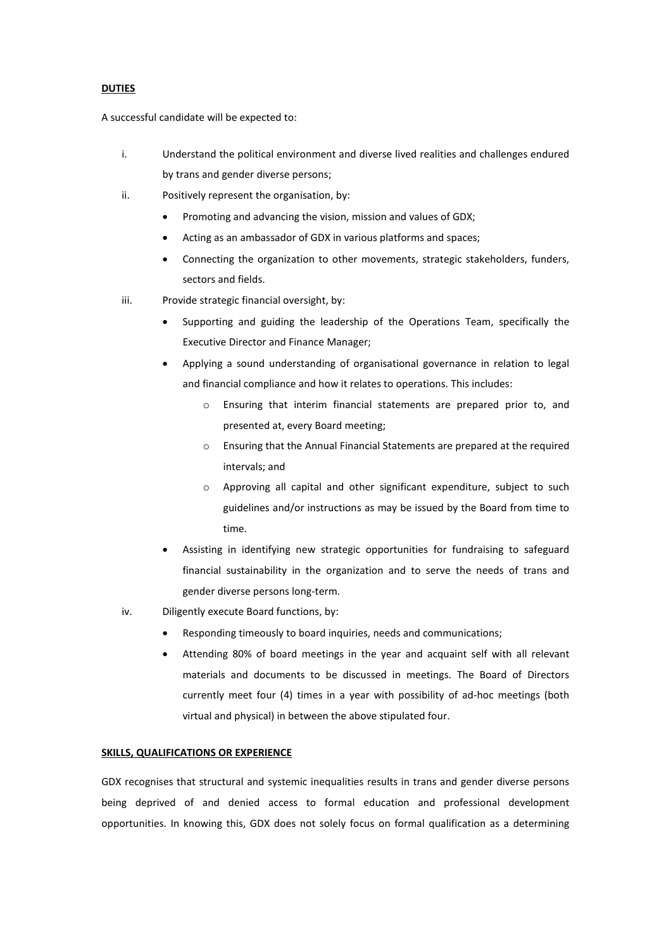## **DUTIES**

A successful candidate will be expected to:

- i. Understand the political environment and diverse lived realities and challenges endured by trans and gender diverse persons;
- ii. Positively represent the organisation, by:
	- Promoting and advancing the vision, mission and values of GDX;
	- Acting as an ambassador of GDX in various platforms and spaces;
	- Connecting the organization to other movements, strategic stakeholders, funders, sectors and fields.
- iii. Provide strategic financial oversight, by:
	- Supporting and guiding the leadership of the Operations Team, specifically the Executive Director and Finance Manager;
	- Applying a sound understanding of organisational governance in relation to legal and financial compliance and how it relates to operations. This includes:
		- o Ensuring that interim financial statements are prepared prior to, and presented at, every Board meeting;
		- o Ensuring that the Annual Financial Statements are prepared at the required intervals; and
		- o Approving all capital and other significant expenditure, subject to such guidelines and/or instructions as may be issued by the Board from time to time.
	- Assisting in identifying new strategic opportunities for fundraising to safeguard financial sustainability in the organization and to serve the needs of trans and gender diverse persons long-term.
- iv. Diligently execute Board functions, by:
	- Responding timeously to board inquiries, needs and communications;
	- Attending 80% of board meetings in the year and acquaint self with all relevant materials and documents to be discussed in meetings. The Board of Directors currently meet four (4) times in a year with possibility of ad-hoc meetings (both virtual and physical) in between the above stipulated four.

#### **SKILLS, QUALIFICATIONS OR EXPERIENCE**

GDX recognises that structural and systemic inequalities results in trans and gender diverse persons being deprived of and denied access to formal education and professional development opportunities. In knowing this, GDX does not solely focus on formal qualification as a determining